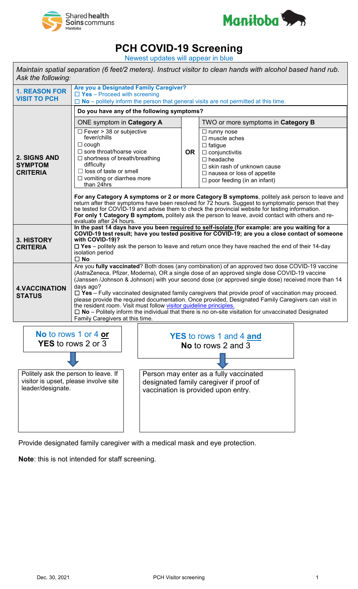



## **PCH COVID-19 Screening**

Newest updates will appear in blue

| Maintain spatial separation (6 feet/2 meters). Instruct visitor to clean hands with alcohol based hand rub.<br>Ask the following: |                                                                                                                                                                                                                                                                                                                                                                                                                                                                                                                                                                                                                                                                                                                                                               |                                                                                                                                                                               |           |                                                                                                                                                                                                                   |  |  |
|-----------------------------------------------------------------------------------------------------------------------------------|---------------------------------------------------------------------------------------------------------------------------------------------------------------------------------------------------------------------------------------------------------------------------------------------------------------------------------------------------------------------------------------------------------------------------------------------------------------------------------------------------------------------------------------------------------------------------------------------------------------------------------------------------------------------------------------------------------------------------------------------------------------|-------------------------------------------------------------------------------------------------------------------------------------------------------------------------------|-----------|-------------------------------------------------------------------------------------------------------------------------------------------------------------------------------------------------------------------|--|--|
| <b>1. REASON FOR</b><br><b>VISIT TO PCH</b>                                                                                       | Are you a Designated Family Caregiver?<br>$\Box$ Yes - Proceed with screening<br>$\Box$ No – politely inform the person that general visits are not permitted at this time.                                                                                                                                                                                                                                                                                                                                                                                                                                                                                                                                                                                   |                                                                                                                                                                               |           |                                                                                                                                                                                                                   |  |  |
|                                                                                                                                   | Do you have any of the following symptoms?                                                                                                                                                                                                                                                                                                                                                                                                                                                                                                                                                                                                                                                                                                                    |                                                                                                                                                                               |           |                                                                                                                                                                                                                   |  |  |
| 2. SIGNS AND<br><b>SYMPTOM</b><br><b>CRITERIA</b>                                                                                 | ONE symptom in Category A                                                                                                                                                                                                                                                                                                                                                                                                                                                                                                                                                                                                                                                                                                                                     |                                                                                                                                                                               |           | TWO or more symptoms in Category B                                                                                                                                                                                |  |  |
|                                                                                                                                   | $\Box$ Fever > 38 or subjective<br>fever/chills<br>$\Box$ cough<br>$\Box$ sore throat/hoarse voice<br>$\Box$ shortness of breath/breathing<br>difficulty<br>$\Box$ loss of taste or smell<br>$\Box$ vomiting or diarrhea more<br>than 24hrs                                                                                                                                                                                                                                                                                                                                                                                                                                                                                                                   |                                                                                                                                                                               | <b>OR</b> | $\Box$ runny nose<br>$\Box$ muscle aches<br>$\Box$ fatigue<br>$\Box$ conjunctivitis<br>$\Box$ headache<br>□ skin rash of unknown cause<br>$\Box$ nausea or loss of appetite<br>$\Box$ poor feeding (in an infant) |  |  |
|                                                                                                                                   | For any Category A symptoms or 2 or more Category B symptoms, politely ask person to leave and<br>return after their symptoms have been resolved for 72 hours. Suggest to symptomatic person that they<br>be tested for COVID-19 and advise them to check the provincial website for testing information.<br>For only 1 Category B symptom, politely ask the person to leave, avoid contact with others and re-<br>evaluate after 24 hours.                                                                                                                                                                                                                                                                                                                   |                                                                                                                                                                               |           |                                                                                                                                                                                                                   |  |  |
| 3. HISTORY<br><b>CRITERIA</b>                                                                                                     | In the past 14 days have you been required to self-isolate (for example: are you waiting for a<br>COVID-19 test result; have you tested positive for COVID-19; are you a close contact of someone<br>with COVID-19)?<br>$\Box$ Yes - politely ask the person to leave and return once they have reached the end of their 14-day<br>isolation period<br>$\square$ No                                                                                                                                                                                                                                                                                                                                                                                           |                                                                                                                                                                               |           |                                                                                                                                                                                                                   |  |  |
| <b>4.VACCINATION</b><br><b>STATUS</b>                                                                                             | Are you fully vaccinated? Both doses (any combination) of an approved two dose COVID-19 vaccine<br>(AstraZeneca, Pfizer, Moderna), OR a single dose of an approved single dose COVID-19 vaccine<br>(Janssen /Johnson & Johnson) with your second dose (or approved single dose) received more than 14<br>days ago?<br>$\Box$ Yes – Fully vaccinated designated family caregivers that provide proof of vaccination may proceed.<br>please provide the required documentation. Once provided, Designated Family Caregivers can visit in<br>the resident room. Visit must follow visitor quideline principles.<br>$\Box$ No – Politely inform the individual that there is no on-site visitation for unvaccinated Designated<br>Family Caregivers at this time. |                                                                                                                                                                               |           |                                                                                                                                                                                                                   |  |  |
| No to rows 1 or 4 or<br><b>YES</b> to rows 2 or 3                                                                                 |                                                                                                                                                                                                                                                                                                                                                                                                                                                                                                                                                                                                                                                                                                                                                               | <b>YES</b> to rows 1 and 4 and<br>No to rows 2 and 3<br><b>The Contract of the Contract of the Contract of the Contract of the Contract of the Contract of the Contract o</b> |           |                                                                                                                                                                                                                   |  |  |

Politely ask the person to leave. If visitor is upset, please involve site leader/designate. Person may enter as a fully vaccinated designated family caregiver if proof of vaccination is provided upon entry.

Provide designated family caregiver with a medical mask and eye protection.

**Note**: this is not intended for staff screening.